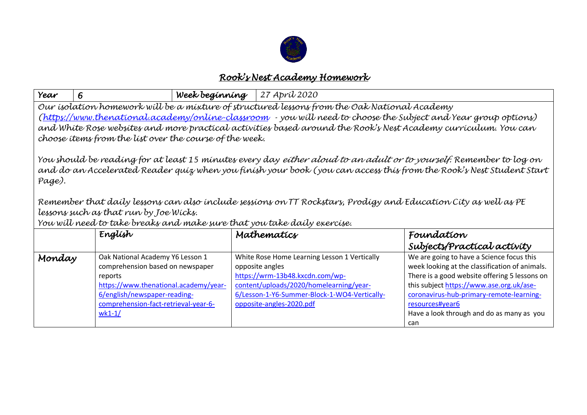

## *Rook's Nest Academy Homework*

| Year                                                                                                                                                                                                                                                                                                                                                                                                                                                                                                 | 6                                                                                                                                                                                                            | Week beginning | 27 Apríl 2020                                                                                                                                                                                                             |                                                                                                                                                                                                                                                                                                             |  |  |
|------------------------------------------------------------------------------------------------------------------------------------------------------------------------------------------------------------------------------------------------------------------------------------------------------------------------------------------------------------------------------------------------------------------------------------------------------------------------------------------------------|--------------------------------------------------------------------------------------------------------------------------------------------------------------------------------------------------------------|----------------|---------------------------------------------------------------------------------------------------------------------------------------------------------------------------------------------------------------------------|-------------------------------------------------------------------------------------------------------------------------------------------------------------------------------------------------------------------------------------------------------------------------------------------------------------|--|--|
| Our isolation homework will be a mixture of structured lessons from the Oak National Academy<br>(https://www.thenational.academy/online-classroom - you will need to choose the Subject and Year group options)<br>and White Rose websites and more practical activities based around the Rook's Nest Academy curriculum. You can<br>choose items from the list over the course of the week.                                                                                                         |                                                                                                                                                                                                              |                |                                                                                                                                                                                                                           |                                                                                                                                                                                                                                                                                                             |  |  |
| You should be reading for at least 15 minutes every day <i>either aloud to an adult or to yourself.</i> Remember to log on<br>and do an Accelerated Reader quiz when you finish your book (you can access this from the Rook's Nest Student Start<br>Page).<br>Remember that daily lessons can also include sessions on TT Rockstars, Prodigy and Education City as well as PE<br>lessons such as that run by Joe Wicks.<br>You will need to take breaks and make sure that you take daily exercise. |                                                                                                                                                                                                              |                |                                                                                                                                                                                                                           |                                                                                                                                                                                                                                                                                                             |  |  |
|                                                                                                                                                                                                                                                                                                                                                                                                                                                                                                      | Englísh                                                                                                                                                                                                      |                | Mathematics                                                                                                                                                                                                               | Foundation<br>Subjects/Practical activity                                                                                                                                                                                                                                                                   |  |  |
| Monday                                                                                                                                                                                                                                                                                                                                                                                                                                                                                               | Oak National Academy Y6 Lesson 1<br>comprehension based on newspaper<br>reports<br>https://www.thenational.academy/year-<br>6/english/newspaper-reading-<br>comprehension-fact-retrieval-year-6-<br>$wk1-1/$ |                | White Rose Home Learning Lesson 1 Vertically<br>opposite angles<br>https://wrm-13b48.kxcdn.com/wp-<br>content/uploads/2020/homelearning/year-<br>6/Lesson-1-Y6-Summer-Block-1-WO4-Vertically-<br>opposite-angles-2020.pdf | We are going to have a Science focus this<br>week looking at the classification of animals.<br>There is a good website offering 5 lessons on<br>this subject https://www.ase.org.uk/ase-<br>coronavirus-hub-primary-remote-learning-<br>resources#vear6<br>Have a look through and do as many as you<br>can |  |  |